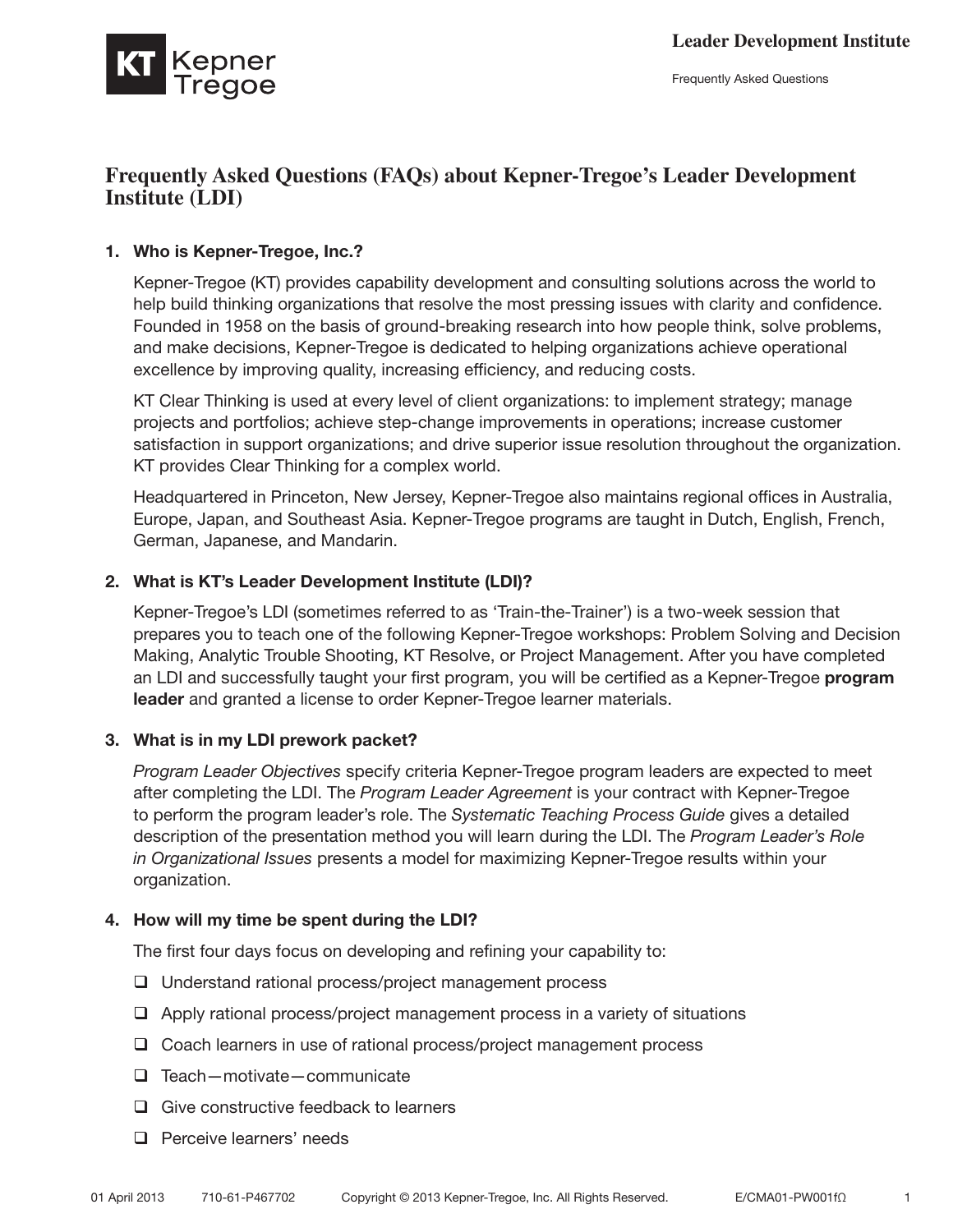

Frequently Asked Questions

# **Frequently Asked Questions (FAQs) about Kepner-Tregoe's Leader Development Institute (LDI)**

# 1. Who is Kepner-Tregoe, Inc.?

Kepner-Tregoe (KT) provides capability development and consulting solutions across the world to help build thinking organizations that resolve the most pressing issues with clarity and confidence. Founded in 1958 on the basis of ground-breaking research into how people think, solve problems, and make decisions, Kepner-Tregoe is dedicated to helping organizations achieve operational excellence by improving quality, increasing efficiency, and reducing costs.

KT Clear Thinking is used at every level of client organizations: to implement strategy; manage projects and portfolios; achieve step-change improvements in operations; increase customer satisfaction in support organizations; and drive superior issue resolution throughout the organization. KT provides Clear Thinking for a complex world.

Headquartered in Princeton, New Jersey, Kepner-Tregoe also maintains regional offices in Australia, Europe, Japan, and Southeast Asia. Kepner-Tregoe programs are taught in Dutch, English, French, German, Japanese, and Mandarin.

### 2. What is KT's Leader Development Institute (LDI)?

Kepner-Tregoe's LDI (sometimes referred to as 'Train-the-Trainer') is a two-week session that prepares you to teach one of the following Kepner-Tregoe workshops: Problem Solving and Decision Making, Analytic Trouble Shooting, KT Resolve, or Project Management. After you have completed an LDI and successfully taught your first program, you will be certified as a Kepner-Tregoe **program** leader and granted a license to order Kepner-Tregoe learner materials.

### 3. What is in my LDI prework packet?

*Program Leader Objectives* specify criteria Kepner-Tregoe program leaders are expected to meet after completing the LDI. The *Program Leader Agreement* is your contract with Kepner-Tregoe to perform the program leader's role. The *Systematic Teaching Process Guide* gives a detailed description of the presentation method you will learn during the LDI. The *Program Leader's Role in Organizational Issues* presents a model for maximizing Kepner-Tregoe results within your organization.

### 4. How will my time be spent during the LDI?

The first four days focus on developing and refining your capability to:

- $\Box$  Understand rational process/project management process
- $\Box$  Apply rational process/project management process in a variety of situations
- $\Box$  Coach learners in use of rational process/project management process
- $\Box$  Teach—motivate—communicate
- $\Box$  Give constructive feedback to learners
- $\Box$  Perceive learners' needs